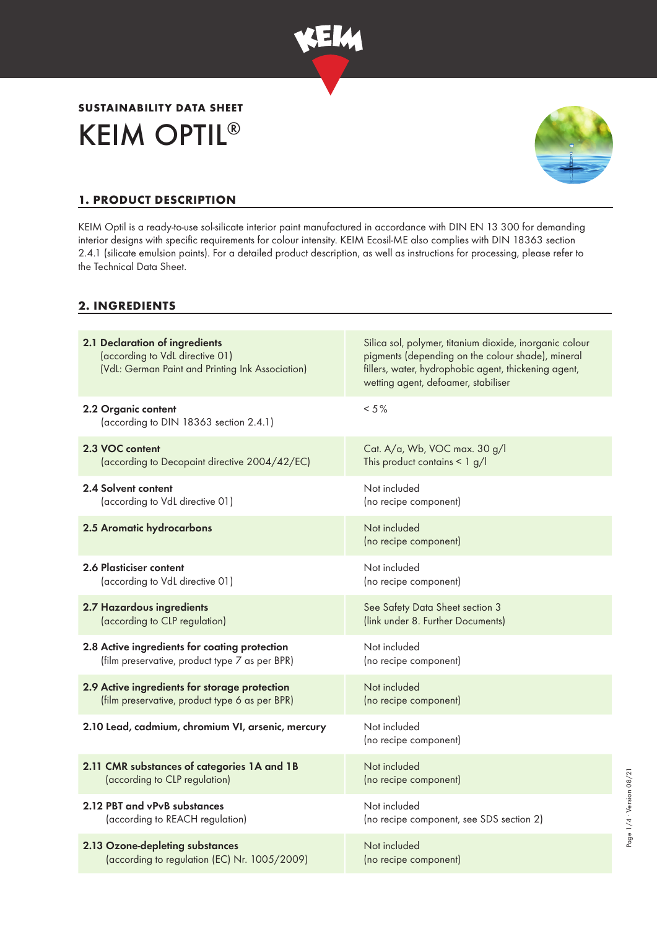

# KEIM OPTIL® **SUSTAINABILITY DATA SHEET**



Page 1/4 · Version 08/21 Page 1/4 ∙ Version 08/21

# **1. PRODUCT DESCRIPTION**

KEIM Optil is a ready-to-use sol-silicate interior paint manufactured in accordance with DIN EN 13 300 for demanding interior designs with specific requirements for colour intensity. KEIM Ecosil-ME also complies with DIN 18363 section 2.4.1 (silicate emulsion paints). For a detailed product description, as well as instructions for processing, please refer to the Technical Data Sheet.

### **2. INGREDIENTS**

| 2.1 Declaration of ingredients<br>(according to VdL directive 01)<br>(VdL: German Paint and Printing Ink Association) | Silica sol, polymer, titanium dioxide, inorganic colour<br>pigments (depending on the colour shade), mineral<br>fillers, water, hydrophobic agent, thickening agent,<br>wetting agent, defoamer, stabiliser |
|-----------------------------------------------------------------------------------------------------------------------|-------------------------------------------------------------------------------------------------------------------------------------------------------------------------------------------------------------|
| 2.2 Organic content<br>(according to DIN 18363 section 2.4.1)                                                         | $< 5 \%$                                                                                                                                                                                                    |
| 2.3 VOC content                                                                                                       | Cat. A/a, Wb, VOC max. 30 g/l                                                                                                                                                                               |
| (according to Decopaint directive 2004/42/EC)                                                                         | This product contains $\leq 1$ g/l                                                                                                                                                                          |
| 2.4 Solvent content                                                                                                   | Not included                                                                                                                                                                                                |
| (according to VdL directive 01)                                                                                       | (no recipe component)                                                                                                                                                                                       |
| 2.5 Aromatic hydrocarbons                                                                                             | Not included<br>(no recipe component)                                                                                                                                                                       |
| 2.6 Plasticiser content                                                                                               | Not included                                                                                                                                                                                                |
| (according to VdL directive 01)                                                                                       | (no recipe component)                                                                                                                                                                                       |
| 2.7 Hazardous ingredients                                                                                             | See Safety Data Sheet section 3                                                                                                                                                                             |
| (according to CLP regulation)                                                                                         | (link under 8. Further Documents)                                                                                                                                                                           |
| 2.8 Active ingredients for coating protection                                                                         | Not included                                                                                                                                                                                                |
| (film preservative, product type 7 as per BPR)                                                                        | (no recipe component)                                                                                                                                                                                       |
| 2.9 Active ingredients for storage protection                                                                         | Not included                                                                                                                                                                                                |
| (film preservative, product type 6 as per BPR)                                                                        | (no recipe component)                                                                                                                                                                                       |
| 2.10 Lead, cadmium, chromium VI, arsenic, mercury                                                                     | Not included<br>(no recipe component)                                                                                                                                                                       |
| 2.11 CMR substances of categories 1A and 1B                                                                           | Not included                                                                                                                                                                                                |
| (according to CLP regulation)                                                                                         | (no recipe component)                                                                                                                                                                                       |
| 2.12 PBT and vPvB substances                                                                                          | Not included                                                                                                                                                                                                |
| (according to REACH regulation)                                                                                       | (no recipe component, see SDS section 2)                                                                                                                                                                    |
| 2.13 Ozone-depleting substances                                                                                       | Not included                                                                                                                                                                                                |
| (according to regulation (EC) Nr. 1005/2009)                                                                          | (no recipe component)                                                                                                                                                                                       |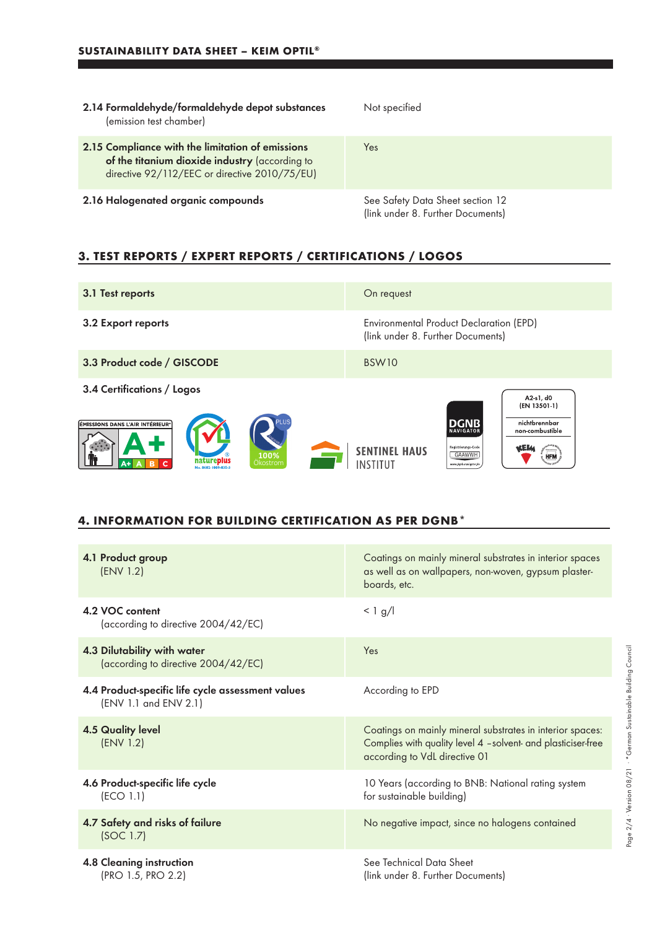| 2.14 Formaldehyde/formaldehyde depot substances<br>(emission test chamber)                                                                          | Not specified                                                         |
|-----------------------------------------------------------------------------------------------------------------------------------------------------|-----------------------------------------------------------------------|
| 2.15 Compliance with the limitation of emissions<br>of the titanium dioxide industry (according to<br>directive 92/112/EEC or directive 2010/75/EU) | Yes                                                                   |
| 2.16 Halogenated organic compounds                                                                                                                  | See Safety Data Sheet section 12<br>(link under 8. Further Documents) |

# **3. TEST REPORTS / EXPERT REPORTS / CERTIFICATIONS / LOGOS**

| 3.1 Test reports                                                                                                     | On request                                                                                                                                                                                                                           |
|----------------------------------------------------------------------------------------------------------------------|--------------------------------------------------------------------------------------------------------------------------------------------------------------------------------------------------------------------------------------|
| 3.2 Export reports                                                                                                   | Environmental Product Declaration (EPD)<br>(link under 8. Further Documents)                                                                                                                                                         |
| 3.3 Product code / GISCODE                                                                                           | BSW <sub>10</sub>                                                                                                                                                                                                                    |
| 3.4 Certifications / Logos<br>ÉMISSIONS DANS L'AIR INTÉRIEUR*<br>100%<br>natureplus<br>Okostrom<br>No. 0602-1009-035 | A2-s1, d0<br>(EN 13501-1)<br><b>DGNB</b><br>nichtbrennbar<br><b>NAVIGATOR</b><br>non-combustible<br>Registrierungs-Code<br><b>SENTINEL HAUS</b><br>$\sum_{i=1}^{N} a_i$ (herwistly)<br>GAAWWH<br><b>HFM</b><br>www.donb-navioator.de |

#### **4. INFORMATION FOR BUILDING CERTIFICATION AS PER DGNB\***

| 4.1 Product group<br>(ENV 1.2)                                             | Coatings on mainly mineral substrates in interior spaces<br>as well as on wallpapers, non-woven, gypsum plaster-<br>boards, etc.                           |
|----------------------------------------------------------------------------|------------------------------------------------------------------------------------------------------------------------------------------------------------|
| 4.2 VOC content<br>(according to directive 2004/42/EC)                     | $< 1$ g/l                                                                                                                                                  |
| 4.3 Dilutability with water<br>(according to directive 2004/42/EC)         | Yes                                                                                                                                                        |
| 4.4 Product-specific life cycle assessment values<br>(ENV 1.1 and ENV 2.1) | According to EPD                                                                                                                                           |
| <b>4.5 Quality level</b><br>(ENV 1.2)                                      | Coatings on mainly mineral substrates in interior spaces:<br>Complies with quality level 4 -solvent- and plasticiser-free<br>according to VdL directive 01 |
| 4.6 Product-specific life cycle<br>(ECO 1.1)                               | 10 Years (according to BNB: National rating system<br>for sustainable building)                                                                            |
| 4.7 Safety and risks of failure<br>(SOC 1.7)                               | No negative impact, since no halogens contained                                                                                                            |
| <b>4.8 Cleaning instruction</b><br>(PRO 1.5, PRO 2.2)                      | See Technical Data Sheet<br>(link under 8. Further Documents)                                                                                              |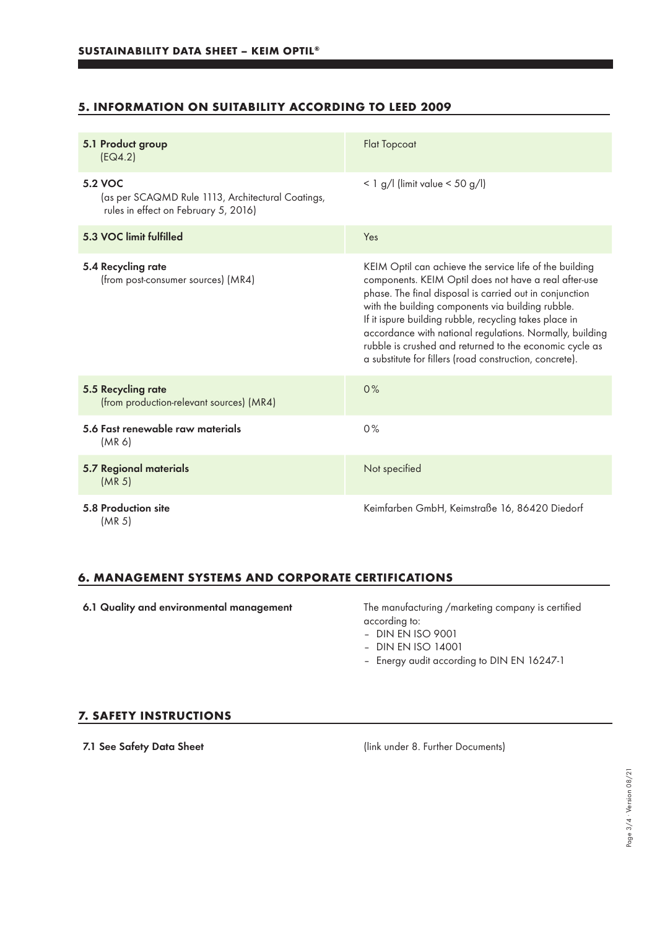## **5. INFORMATION ON SUITABILITY ACCORDING TO LEED 2009**

| 5.1 Product group<br>EG4.2)                                                                          | <b>Flat Topcoat</b>                                                                                                                                                                                                                                                                                                                                                                                                                                                          |
|------------------------------------------------------------------------------------------------------|------------------------------------------------------------------------------------------------------------------------------------------------------------------------------------------------------------------------------------------------------------------------------------------------------------------------------------------------------------------------------------------------------------------------------------------------------------------------------|
| 5.2 VOC<br>(as per SCAQMD Rule 1113, Architectural Coatings,<br>rules in effect on February 5, 2016) | $<$ 1 g/l (limit value $<$ 50 g/l)                                                                                                                                                                                                                                                                                                                                                                                                                                           |
| 5.3 VOC limit fulfilled                                                                              | Yes                                                                                                                                                                                                                                                                                                                                                                                                                                                                          |
| 5.4 Recycling rate<br>(from post-consumer sources) (MR4)                                             | KEIM Optil can achieve the service life of the building<br>components. KEIM Optil does not have a real after-use<br>phase. The final disposal is carried out in conjunction<br>with the building components via building rubble.<br>If it ispure building rubble, recycling takes place in<br>accordance with national regulations. Normally, building<br>rubble is crushed and returned to the economic cycle as<br>a substitute for fillers (road construction, concrete). |
| 5.5 Recycling rate<br>(from production-relevant sources) (MR4)                                       | 0%                                                                                                                                                                                                                                                                                                                                                                                                                                                                           |
| 5.6 Fast renewable raw materials<br>(MR 6)                                                           | 0%                                                                                                                                                                                                                                                                                                                                                                                                                                                                           |
| <b>5.7 Regional materials</b><br>(MR <sub>5</sub> )                                                  | Not specified                                                                                                                                                                                                                                                                                                                                                                                                                                                                |
| 5.8 Production site<br>(MR 5)                                                                        | Keimfarben GmbH, Keimstraße 16, 86420 Diedorf                                                                                                                                                                                                                                                                                                                                                                                                                                |

## **6. MANAGEMENT SYSTEMS AND CORPORATE CERTIFICATIONS**

6.1 Quality and environmental management The manufacturing /marketing company is certified according to:

– DIN EN ISO 9001

- DIN EN ISO 14001
- Energy audit according to DIN EN 16247-1

#### **7. SAFETY INSTRUCTIONS**

7.1 See Safety Data Sheet (link under 8. Further Documents)